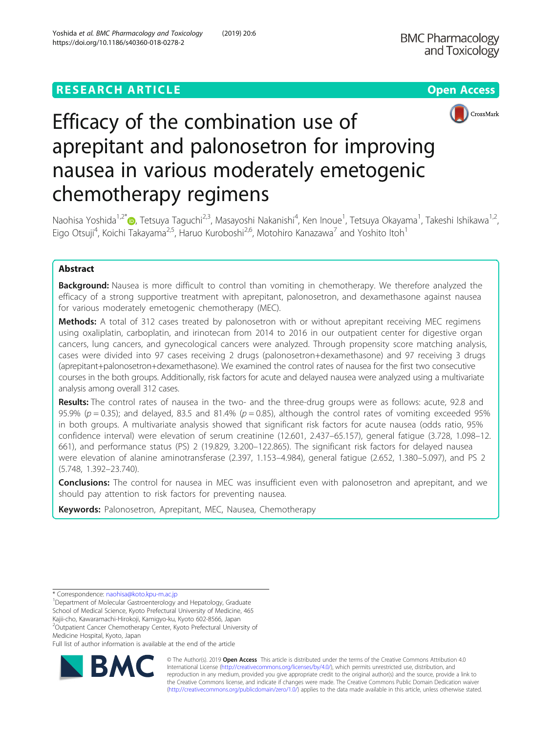## **RESEARCH ARTICLE Example 2018 12:30 THE Open Access**





# Efficacy of the combination use of aprepitant and palonosetron for improving nausea in various moderately emetogenic chemotherapy regimens

Naohisa Yoshida<sup>1,2[\\*](http://orcid.org/0000-0001-6167-9705)</sup>�, Tetsuya Taguchi<sup>2,3</sup>, Masayoshi Nakanishi<sup>4</sup>, Ken Inoue<sup>1</sup>, Tetsuya Okayama<sup>1</sup>, Takeshi Ishikawa<sup>1,2</sup>, Eigo Otsuji<sup>4</sup>, Koichi Takayama<sup>2,5</sup>, Haruo Kuroboshi<sup>2,6</sup>, Motohiro Kanazawa<sup>7</sup> and Yoshito Itoh<sup>1</sup>

### Abstract

**Background:** Nausea is more difficult to control than vomiting in chemotherapy. We therefore analyzed the efficacy of a strong supportive treatment with aprepitant, palonosetron, and dexamethasone against nausea for various moderately emetogenic chemotherapy (MEC).

Methods: A total of 312 cases treated by palonosetron with or without aprepitant receiving MEC regimens using oxaliplatin, carboplatin, and irinotecan from 2014 to 2016 in our outpatient center for digestive organ cancers, lung cancers, and gynecological cancers were analyzed. Through propensity score matching analysis, cases were divided into 97 cases receiving 2 drugs (palonosetron+dexamethasone) and 97 receiving 3 drugs (aprepitant+palonosetron+dexamethasone). We examined the control rates of nausea for the first two consecutive courses in the both groups. Additionally, risk factors for acute and delayed nausea were analyzed using a multivariate analysis among overall 312 cases.

Results: The control rates of nausea in the two- and the three-drug groups were as follows: acute, 92.8 and 95.9% ( $p = 0.35$ ); and delayed, 83.5 and 81.4% ( $p = 0.85$ ), although the control rates of vomiting exceeded 95% in both groups. A multivariate analysis showed that significant risk factors for acute nausea (odds ratio, 95% confidence interval) were elevation of serum creatinine (12.601, 2.437–65.157), general fatigue (3.728, 1.098–12. 661), and performance status (PS) 2 (19.829, 3.200–122.865). The significant risk factors for delayed nausea were elevation of alanine aminotransferase (2.397, 1.153–4.984), general fatigue (2.652, 1.380–5.097), and PS 2 (5.748, 1.392–23.740).

**Conclusions:** The control for nausea in MEC was insufficient even with palonosetron and aprepitant, and we should pay attention to risk factors for preventing nausea.

Keywords: Palonosetron, Aprepitant, MEC, Nausea, Chemotherapy

Medicine Hospital, Kyoto, Japan

Full list of author information is available at the end of the article



© The Author(s). 2019 **Open Access** This article is distributed under the terms of the Creative Commons Attribution 4.0 International License [\(http://creativecommons.org/licenses/by/4.0/](http://creativecommons.org/licenses/by/4.0/)), which permits unrestricted use, distribution, and reproduction in any medium, provided you give appropriate credit to the original author(s) and the source, provide a link to the Creative Commons license, and indicate if changes were made. The Creative Commons Public Domain Dedication waiver [\(http://creativecommons.org/publicdomain/zero/1.0/](http://creativecommons.org/publicdomain/zero/1.0/)) applies to the data made available in this article, unless otherwise stated.

<sup>\*</sup> Correspondence: [naohisa@koto.kpu-m.ac.jp](mailto:naohisa@koto.kpu-m.ac.jp) <sup>1</sup>

<sup>&</sup>lt;sup>1</sup> Department of Molecular Gastroenterology and Hepatology, Graduate School of Medical Science, Kyoto Prefectural University of Medicine, 465 Kajii-cho, Kawaramachi-Hirokoji, Kamigyo-ku, Kyoto 602-8566, Japan <sup>2</sup>Outpatient Cancer Chemotherapy Center, Kyoto Prefectural University of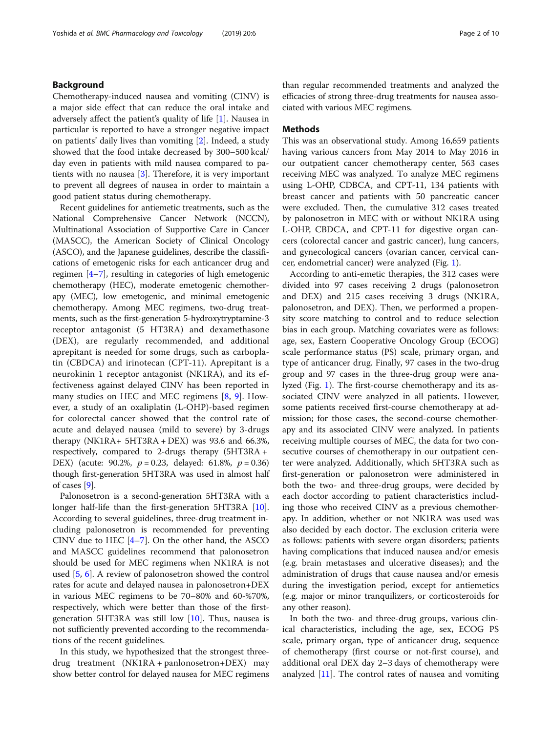#### Background

Chemotherapy-induced nausea and vomiting (CINV) is a major side effect that can reduce the oral intake and adversely affect the patient's quality of life [\[1](#page-8-0)]. Nausea in particular is reported to have a stronger negative impact on patients' daily lives than vomiting [[2](#page-8-0)]. Indeed, a study showed that the food intake decreased by 300–500 kcal/ day even in patients with mild nausea compared to patients with no nausea [[3\]](#page-8-0). Therefore, it is very important to prevent all degrees of nausea in order to maintain a good patient status during chemotherapy.

Recent guidelines for antiemetic treatments, such as the National Comprehensive Cancer Network (NCCN), Multinational Association of Supportive Care in Cancer (MASCC), the American Society of Clinical Oncology (ASCO), and the Japanese guidelines, describe the classifications of emetogenic risks for each anticancer drug and regimen [[4](#page-8-0)–[7](#page-9-0)], resulting in categories of high emetogenic chemotherapy (HEC), moderate emetogenic chemotherapy (MEC), low emetogenic, and minimal emetogenic chemotherapy. Among MEC regimens, two-drug treatments, such as the first-generation 5-hydroxytryptamine-3 receptor antagonist (5 HT3RA) and dexamethasone (DEX), are regularly recommended, and additional aprepitant is needed for some drugs, such as carboplatin (CBDCA) and irinotecan (CPT-11). Aprepitant is a neurokinin 1 receptor antagonist (NK1RA), and its effectiveness against delayed CINV has been reported in many studies on HEC and MEC regimens [\[8](#page-9-0), [9](#page-9-0)]. However, a study of an oxaliplatin (L-OHP)-based regimen for colorectal cancer showed that the control rate of acute and delayed nausea (mild to severe) by 3-drugs therapy (NK1RA+ 5HT3RA + DEX) was 93.6 and 66.3%, respectively, compared to 2-drugs therapy (5HT3RA + DEX) (acute: 90.2%,  $p = 0.23$ , delayed: 61.8%,  $p = 0.36$ ) though first-generation 5HT3RA was used in almost half of cases [\[9](#page-9-0)].

Palonosetron is a second-generation 5HT3RA with a longer half-life than the first-generation 5HT3RA [\[10](#page-9-0)]. According to several guidelines, three-drug treatment including palonosetron is recommended for preventing CINV due to HEC [\[4](#page-8-0)–[7](#page-9-0)]. On the other hand, the ASCO and MASCC guidelines recommend that palonosetron should be used for MEC regimens when NK1RA is not used [[5](#page-8-0), [6](#page-8-0)]. A review of palonosetron showed the control rates for acute and delayed nausea in palonosetron+DEX in various MEC regimens to be 70–80% and 60-%70%, respectively, which were better than those of the firstgeneration 5HT3RA was still low  $[10]$  $[10]$  $[10]$ . Thus, nausea is not sufficiently prevented according to the recommendations of the recent guidelines.

In this study, we hypothesized that the strongest threedrug treatment (NK1RA + panlonosetron+DEX) may show better control for delayed nausea for MEC regimens than regular recommended treatments and analyzed the efficacies of strong three-drug treatments for nausea associated with various MEC regimens.

#### **Methods**

This was an observational study. Among 16,659 patients having various cancers from May 2014 to May 2016 in our outpatient cancer chemotherapy center, 563 cases receiving MEC was analyzed. To analyze MEC regimens using L-OHP, CDBCA, and CPT-11, 134 patients with breast cancer and patients with 50 pancreatic cancer were excluded. Then, the cumulative 312 cases treated by palonosetron in MEC with or without NK1RA using L-OHP, CBDCA, and CPT-11 for digestive organ cancers (colorectal cancer and gastric cancer), lung cancers, and gynecological cancers (ovarian cancer, cervical cancer, endometrial cancer) were analyzed (Fig. [1](#page-2-0)).

According to anti-emetic therapies, the 312 cases were divided into 97 cases receiving 2 drugs (palonosetron and DEX) and 215 cases receiving 3 drugs (NK1RA, palonosetron, and DEX). Then, we performed a propensity score matching to control and to reduce selection bias in each group. Matching covariates were as follows: age, sex, Eastern Cooperative Oncology Group (ECOG) scale performance status (PS) scale, primary organ, and type of anticancer drug. Finally, 97 cases in the two-drug group and 97 cases in the three-drug group were analyzed (Fig. [1](#page-2-0)). The first-course chemotherapy and its associated CINV were analyzed in all patients. However, some patients received first-course chemotherapy at admission; for those cases, the second-course chemotherapy and its associated CINV were analyzed. In patients receiving multiple courses of MEC, the data for two consecutive courses of chemotherapy in our outpatient center were analyzed. Additionally, which 5HT3RA such as first-generation or palonosetron were administered in both the two- and three-drug groups, were decided by each doctor according to patient characteristics including those who received CINV as a previous chemotherapy. In addition, whether or not NK1RA was used was also decided by each doctor. The exclusion criteria were as follows: patients with severe organ disorders; patients having complications that induced nausea and/or emesis (e.g. brain metastases and ulcerative diseases); and the administration of drugs that cause nausea and/or emesis during the investigation period, except for antiemetics (e.g. major or minor tranquilizers, or corticosteroids for any other reason).

In both the two- and three-drug groups, various clinical characteristics, including the age, sex, ECOG PS scale, primary organ, type of anticancer drug, sequence of chemotherapy (first course or not-first course), and additional oral DEX day 2–3 days of chemotherapy were analyzed [[11](#page-9-0)]. The control rates of nausea and vomiting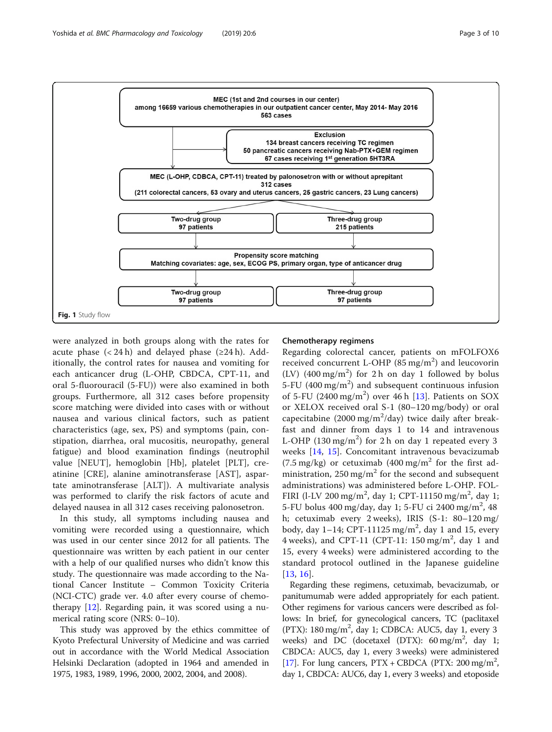<span id="page-2-0"></span>

were analyzed in both groups along with the rates for acute phase  $(< 24 h$ ) and delayed phase ( $\geq 24 h$ ). Additionally, the control rates for nausea and vomiting for each anticancer drug (L-OHP, CBDCA, CPT-11, and oral 5-fluorouracil (5-FU)) were also examined in both groups. Furthermore, all 312 cases before propensity score matching were divided into cases with or without nausea and various clinical factors, such as patient characteristics (age, sex, PS) and symptoms (pain, constipation, diarrhea, oral mucositis, neuropathy, general fatigue) and blood examination findings (neutrophil value [NEUT], hemoglobin [Hb], platelet [PLT], creatinine [CRE], alanine aminotransferase [AST], aspartate aminotransferase [ALT]). A multivariate analysis was performed to clarify the risk factors of acute and delayed nausea in all 312 cases receiving palonosetron.

In this study, all symptoms including nausea and vomiting were recorded using a questionnaire, which was used in our center since 2012 for all patients. The questionnaire was written by each patient in our center with a help of our qualified nurses who didn't know this study. The questionnaire was made according to the National Cancer Institute – Common Toxicity Criteria (NCI-CTC) grade ver. 4.0 after every course of chemotherapy [\[12](#page-9-0)]. Regarding pain, it was scored using a numerical rating score (NRS: 0–10).

This study was approved by the ethics committee of Kyoto Prefectural University of Medicine and was carried out in accordance with the World Medical Association Helsinki Declaration (adopted in 1964 and amended in 1975, 1983, 1989, 1996, 2000, 2002, 2004, and 2008).

#### Chemotherapy regimens

Regarding colorectal cancer, patients on mFOLFOX6 received concurrent L-OHP  $(85 \text{ mg/m}^2)$  and leucovorin (LV)  $(400 \text{ mg/m}^2)$  for 2h on day 1 followed by bolus 5-FU (400 mg/m<sup>2</sup>) and subsequent continuous infusion of 5-FU (2400 mg/m<sup>2</sup>) over 46 h [\[13](#page-9-0)]. Patients on SOX or XELOX received oral S-1 (80–120 mg/body) or oral capecitabine (2000 mg/m<sup>2</sup>/day) twice daily after breakfast and dinner from days 1 to 14 and intravenous L-OHP (130 mg/m<sup>2</sup>) for 2 h on day 1 repeated every 3 weeks [[14](#page-9-0), [15\]](#page-9-0). Concomitant intravenous bevacizumab  $(7.5 \text{ mg/kg})$  or cetuximab  $(400 \text{ mg/m}^2)$  for the first administration,  $250 \text{ mg/m}^2$  for the second and subsequent administrations) was administered before L-OHP. FOL-FIRI (l-LV 200 mg/m<sup>2</sup>, day 1; CPT-11150 mg/m<sup>2</sup>, day 1; 5-FU bolus 400 mg/day, day 1; 5-FU ci 2400 mg/m<sup>2</sup>, 48 h; cetuximab every 2 weeks), IRIS (S-1: 80–120 mg/ body, day  $1-14$ ; CPT-11125 mg/m<sup>2</sup>, day 1 and 15, every 4 weeks), and CPT-11 (CPT-11:  $150 \text{ mg/m}^2$ , day 1 and 15, every 4 weeks) were administered according to the standard protocol outlined in the Japanese guideline [[13,](#page-9-0) [16](#page-9-0)].

Regarding these regimens, cetuximab, bevacizumab, or panitumumab were added appropriately for each patient. Other regimens for various cancers were described as follows: In brief, for gynecological cancers, TC (paclitaxel (PTX): 180 mg/m<sup>2</sup>, day 1; CDBCA: AUC5, day 1, every 3 weeks) and DC (docetaxel (DTX):  $60 \text{ mg/m}^2$ , day 1; CBDCA: AUC5, day 1, every 3 weeks) were administered [[17](#page-9-0)]. For lung cancers,  $PTX + CBDCA$  (PTX: 200 mg/m<sup>2</sup>, day 1, CBDCA: AUC6, day 1, every 3 weeks) and etoposide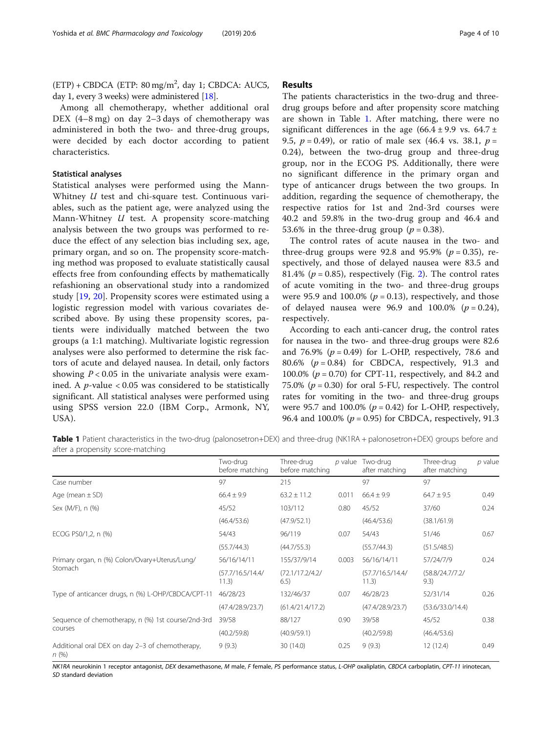$(ETP) + CBDCA$  (ETP: 80 mg/m<sup>2</sup>, day 1; CBDCA: AUC5, day 1, every 3 weeks) were administered [[18](#page-9-0)].

Among all chemotherapy, whether additional oral DEX (4–8 mg) on day 2–3 days of chemotherapy was administered in both the two- and three-drug groups, were decided by each doctor according to patient characteristics.

#### Statistical analyses

Statistical analyses were performed using the Mann-Whitney *U* test and chi-square test. Continuous variables, such as the patient age, were analyzed using the Mann-Whitney  $U$  test. A propensity score-matching analysis between the two groups was performed to reduce the effect of any selection bias including sex, age, primary organ, and so on. The propensity score-matching method was proposed to evaluate statistically causal effects free from confounding effects by mathematically refashioning an observational study into a randomized study [\[19](#page-9-0), [20\]](#page-9-0). Propensity scores were estimated using a logistic regression model with various covariates described above. By using these propensity scores, patients were individually matched between the two groups (a 1:1 matching). Multivariate logistic regression analyses were also performed to determine the risk factors of acute and delayed nausea. In detail, only factors showing  $P < 0.05$  in the univariate analysis were examined. A *p*-value  $< 0.05$  was considered to be statistically significant. All statistical analyses were performed using using SPSS version 22.0 (IBM Corp., Armonk, NY, USA).

#### Results

The patients characteristics in the two-drug and threedrug groups before and after propensity score matching are shown in Table 1. After matching, there were no significant differences in the age  $(66.4 \pm 9.9 \text{ vs. } 64.7 \pm 1)$ 9.5,  $p = 0.49$ ), or ratio of male sex (46.4 vs. 38.1,  $p =$ 0.24), between the two-drug group and three-drug group, nor in the ECOG PS. Additionally, there were no significant difference in the primary organ and type of anticancer drugs between the two groups. In addition, regarding the sequence of chemotherapy, the respective ratios for 1st and 2nd-3rd courses were 40.2 and 59.8% in the two-drug group and 46.4 and 53.6% in the three-drug group ( $p = 0.38$ ).

The control rates of acute nausea in the two- and three-drug groups were 92.8 and 95.9% ( $p = 0.35$ ), respectively, and those of delayed nausea were 83.5 and 81.4% ( $p = 0.85$ ), respectively (Fig. [2\)](#page-4-0). The control rates of acute vomiting in the two- and three-drug groups were 95.9 and 100.0% ( $p = 0.13$ ), respectively, and those of delayed nausea were 96.9 and 100.0%  $(p = 0.24)$ , respectively.

According to each anti-cancer drug, the control rates for nausea in the two- and three-drug groups were 82.6 and 76.9% ( $p = 0.49$ ) for L-OHP, respectively, 78.6 and 80.6% ( $p = 0.84$ ) for CBDCA, respectively, 91.3 and 100.0% ( $p = 0.70$ ) for CPT-11, respectively, and 84.2 and 75.0% ( $p = 0.30$ ) for oral 5-FU, respectively. The control rates for vomiting in the two- and three-drug groups were 95.7 and 100.0% ( $p = 0.42$ ) for L-OHP, respectively, 96.4 and 100.0% ( $p = 0.95$ ) for CBDCA, respectively, 91.3

Table 1 Patient characteristics in the two-drug (palonosetron+DEX) and three-drug (NK1RA + palonosetron+DEX) groups before and after a propensity score-matching

|                                                                 | Two-drug<br>before matching | Three-drug<br>before matching |       | $p$ value Two-drug<br>after matching | Three-drug<br>after matching | $p$ value |
|-----------------------------------------------------------------|-----------------------------|-------------------------------|-------|--------------------------------------|------------------------------|-----------|
| Case number                                                     | 97                          | 215                           |       | 97                                   | 97                           |           |
| Age (mean $\pm$ SD)                                             | $66.4 \pm 9.9$              | $63.2 \pm 11.2$               | 0.011 | $66.4 \pm 9.9$                       | $64.7 \pm 9.5$               | 0.49      |
| Sex (M/F), n (%)                                                | 45/52                       | 103/112                       | 0.80  | 45/52                                | 37/60                        | 0.24      |
|                                                                 | (46.4/53.6)                 | (47.9/52.1)                   |       | (46.4/53.6)                          | (38.1/61.9)                  |           |
| ECOG PS0/1,2, n (%)                                             | 54/43                       | 96/119                        | 0.07  | 54/43                                | 51/46                        | 0.67      |
|                                                                 | (55.7/44.3)                 | (44.7/55.3)                   |       | (55.7/44.3)                          | (51.5/48.5)                  |           |
| Primary organ, n (%) Colon/Ovary+Uterus/Lung/<br><b>Stomach</b> | 56/16/14/11                 | 155/37/9/14                   | 0.003 | 56/16/14/11                          | 57/24/7/9                    | 0.24      |
|                                                                 | (57.7/16.5/14.4/<br>11.3)   | (72.1/17.2/4.2/<br>6.5)       |       | (57.7/16.5/14.4/<br>11.3)            | (58.8/24.7/7.2/<br>9.3)      |           |
| Type of anticancer drugs, n (%) L-OHP/CBDCA/CPT-11              | 46/28/23                    | 132/46/37                     | 0.07  | 46/28/23                             | 52/31/14                     | 0.26      |
|                                                                 | (47.4/28.9/23.7)            | (61.4/21.4/17.2)              |       | (47.4/28.9/23.7)                     | (53.6/33.0/14.4)             |           |
| Sequence of chemotherapy, n (%) 1st course/2nd-3rd              | 39/58                       | 88/127                        | 0.90  | 39/58                                | 45/52                        | 0.38      |
| courses                                                         | (40.2/59.8)                 | (40.9/59.1)                   |       | (40.2/59.8)                          | (46.4/53.6)                  |           |
| Additional oral DEX on day 2-3 of chemotherapy,<br>n(%)         | 9(9.3)                      | 30 (14.0)                     | 0.25  | 9(9.3)                               | 12(12.4)                     | 0.49      |

NK1RA neurokinin 1 receptor antagonist, DEX dexamethasone, M male, F female, PS performance status, L-OHP oxaliplatin, CBDCA carboplatin, CPT-11 irinotecan, SD standard deviation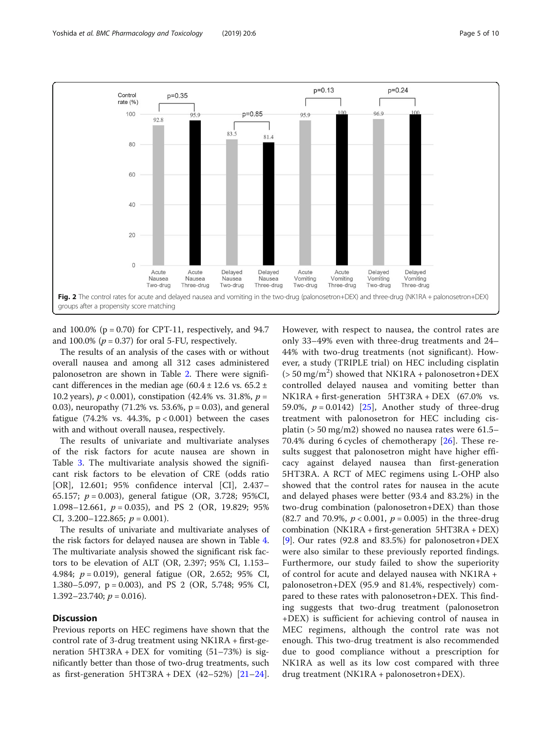<span id="page-4-0"></span>

and  $100.0\%$  (p = 0.70) for CPT-11, respectively, and 94.7 and 100.0% ( $p = 0.37$ ) for oral 5-FU, respectively.

The results of an analysis of the cases with or without overall nausea and among all 312 cases administered palonosetron are shown in Table [2](#page-5-0). There were significant differences in the median age  $(60.4 \pm 12.6 \text{ vs. } 65.2 \pm 12.6 \text{ vs. } 65.2 \pm 12.6 \text{ vs. } 65.2 \pm 12.6 \text{ vs. } 65.2 \pm 12.6 \text{ vs. } 65.2 \pm 12.6 \text{ vs. } 65.2 \pm 12.6 \text{ vs. } 65.2 \pm 12.6 \text{ vs. } 65.2 \pm 12.6 \text{ vs. } 65.2 \pm 12.6 \text{ vs. } 65.2$ 10.2 years),  $p < 0.001$ ), constipation (42.4% vs. 31.8%,  $p =$ 0.03), neuropathy  $(71.2\% \text{ vs. } 53.6\%, \text{ p} = 0.03)$ , and general fatigue (74.2% vs. 44.3%,  $p < 0.001$ ) between the cases with and without overall nausea, respectively.

The results of univariate and multivariate analyses of the risk factors for acute nausea are shown in Table [3.](#page-6-0) The multivariate analysis showed the significant risk factors to be elevation of CRE (odds ratio [OR], 12.601; 95% confidence interval [CI], 2.437– 65.157; p = 0.003), general fatigue (OR, 3.728; 95%CI, 1.098–12.661,  $p = 0.035$ ), and PS 2 (OR, 19.829; 95% CI, 3.200-122.865;  $p = 0.001$ ).

The results of univariate and multivariate analyses of the risk factors for delayed nausea are shown in Table [4](#page-7-0). The multivariate analysis showed the significant risk factors to be elevation of ALT (OR, 2.397; 95% CI, 1.153– 4.984; p = 0.019), general fatigue (OR, 2.652; 95% CI, 1.380–5.097, p = 0.003), and PS 2 (OR, 5.748; 95% CI, 1.392–23.740;  $p = 0.016$ ).

#### Discussion

Previous reports on HEC regimens have shown that the control rate of 3-drug treatment using NK1RA + first-generation 5HT3RA + DEX for vomiting (51–73%) is significantly better than those of two-drug treatments, such as first-generation  $5HT3RA + DEX$  (42–52%) [\[21](#page-9-0)–[24](#page-9-0)]. However, with respect to nausea, the control rates are only 33–49% even with three-drug treatments and 24– 44% with two-drug treatments (not significant). However, a study (TRIPLE trial) on HEC including cisplatin  $($  > 50 mg/m<sup>2</sup> $)$  showed that NK1RA + palonosetron+DEX controlled delayed nausea and vomiting better than NK1RA + first-generation 5HT3RA + DEX (67.0% vs. 59.0%,  $p = 0.0142$ ) [[25](#page-9-0)], Another study of three-drug treatment with palonosetron for HEC including cisplatin (> 50 mg/m2) showed no nausea rates were 61.5– 70.4% during 6 cycles of chemotherapy [\[26](#page-9-0)]. These results suggest that palonosetron might have higher efficacy against delayed nausea than first-generation 5HT3RA. A RCT of MEC regimens using L-OHP also showed that the control rates for nausea in the acute and delayed phases were better (93.4 and 83.2%) in the two-drug combination (palonosetron+DEX) than those (82.7 and 70.9%,  $p < 0.001$ ,  $p = 0.005$ ) in the three-drug combination (NK1RA + first-generation 5HT3RA + DEX) [[9\]](#page-9-0). Our rates (92.8 and 83.5%) for palonosetron+DEX were also similar to these previously reported findings. Furthermore, our study failed to show the superiority of control for acute and delayed nausea with NK1RA + palonosetron+DEX (95.9 and 81.4%, respectively) compared to these rates with palonosetron+DEX. This finding suggests that two-drug treatment (palonosetron +DEX) is sufficient for achieving control of nausea in MEC regimens, although the control rate was not enough. This two-drug treatment is also recommended due to good compliance without a prescription for NK1RA as well as its low cost compared with three drug treatment (NK1RA + palonosetron+DEX).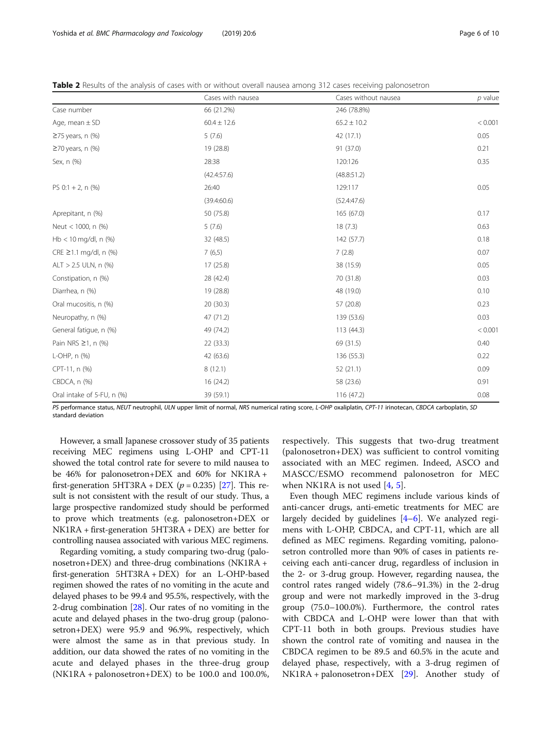| Cases with nausea | Cases without nausea | $p$ value |  |
|-------------------|----------------------|-----------|--|
| 66 (21.2%)        | 246 (78.8%)          |           |  |
| $60.4 \pm 12.6$   | $65.2 \pm 10.2$      | < 0.001   |  |
| 5(7.6)            | 42 (17.1)            | 0.05      |  |
| 19 (28.8)         | 91 (37.0)            | 0.21      |  |
| 28:38             | 120:126              | 0.35      |  |
| (42.4:57.6)       | (48.8:51.2)          |           |  |
| 26:40             | 129:117              | 0.05      |  |
| (39.4:60.6)       | (52.4:47.6)          |           |  |
| 50 (75.8)         | 165 (67.0)           | 0.17      |  |
| 5(7.6)            | 18(7.3)              | 0.63      |  |
| 32 (48.5)         | 142 (57.7)           | 0.18      |  |
| 7(6,5)            | 7(2.8)               | 0.07      |  |
| 17(25.8)          | 38 (15.9)            | 0.05      |  |
| 28 (42.4)         | 70 (31.8)            | 0.03      |  |
| 19 (28.8)         | 48 (19.0)            | 0.10      |  |
| 20(30.3)          | 57 (20.8)            | 0.23      |  |
| 47 (71.2)         | 139 (53.6)           | 0.03      |  |
| 49 (74.2)         | 113 (44.3)           | < 0.001   |  |
| 22(33.3)          | 69 (31.5)            | 0.40      |  |
| 42 (63.6)         | 136 (55.3)           | 0.22      |  |
| 8(12.1)           | 52(21.1)             | 0.09      |  |
| 16(24.2)          | 58 (23.6)            | 0.91      |  |
| 39 (59.1)         | 116 (47.2)           | 0.08      |  |
|                   |                      |           |  |

<span id="page-5-0"></span>Table 2 Results of the analysis of cases with or without overall nausea among 312 cases receiving palonosetron

PS performance status, NEUT neutrophil, ULN upper limit of normal, NRS numerical rating score, L-OHP oxaliplatin, CPT-11 irinotecan, CBDCA carboplatin, SD standard deviation

However, a small Japanese crossover study of 35 patients receiving MEC regimens using L-OHP and CPT-11 showed the total control rate for severe to mild nausea to be 46% for palonosetron+DEX and 60% for NK1RA + first-generation 5HT3RA + DEX ( $p = 0.235$ ) [\[27\]](#page-9-0). This result is not consistent with the result of our study. Thus, a large prospective randomized study should be performed to prove which treatments (e.g. palonosetron+DEX or NK1RA + first-generation 5HT3RA + DEX) are better for controlling nausea associated with various MEC regimens.

Regarding vomiting, a study comparing two-drug (palonosetron+DEX) and three-drug combinations (NK1RA + first-generation 5HT3RA + DEX) for an L-OHP-based regimen showed the rates of no vomiting in the acute and delayed phases to be 99.4 and 95.5%, respectively, with the 2-drug combination [[28](#page-9-0)]. Our rates of no vomiting in the acute and delayed phases in the two-drug group (palonosetron+DEX) were 95.9 and 96.9%, respectively, which were almost the same as in that previous study. In addition, our data showed the rates of no vomiting in the acute and delayed phases in the three-drug group (NK1RA + palonosetron+DEX) to be 100.0 and 100.0%,

respectively. This suggests that two-drug treatment (palonosetron+DEX) was sufficient to control vomiting associated with an MEC regimen. Indeed, ASCO and MASCC/ESMO recommend palonosetron for MEC when NK1RA is not used [\[4](#page-8-0), [5](#page-8-0)].

Even though MEC regimens include various kinds of anti-cancer drugs, anti-emetic treatments for MEC are largely decided by guidelines [\[4](#page-8-0)–[6\]](#page-8-0). We analyzed regimens with L-OHP, CBDCA, and CPT-11, which are all defined as MEC regimens. Regarding vomiting, palonosetron controlled more than 90% of cases in patients receiving each anti-cancer drug, regardless of inclusion in the 2- or 3-drug group. However, regarding nausea, the control rates ranged widely (78.6–91.3%) in the 2-drug group and were not markedly improved in the 3-drug group (75.0–100.0%). Furthermore, the control rates with CBDCA and L-OHP were lower than that with CPT-11 both in both groups. Previous studies have shown the control rate of vomiting and nausea in the CBDCA regimen to be 89.5 and 60.5% in the acute and delayed phase, respectively, with a 3-drug regimen of NK1RA + palonosetron+DEX [\[29\]](#page-9-0). Another study of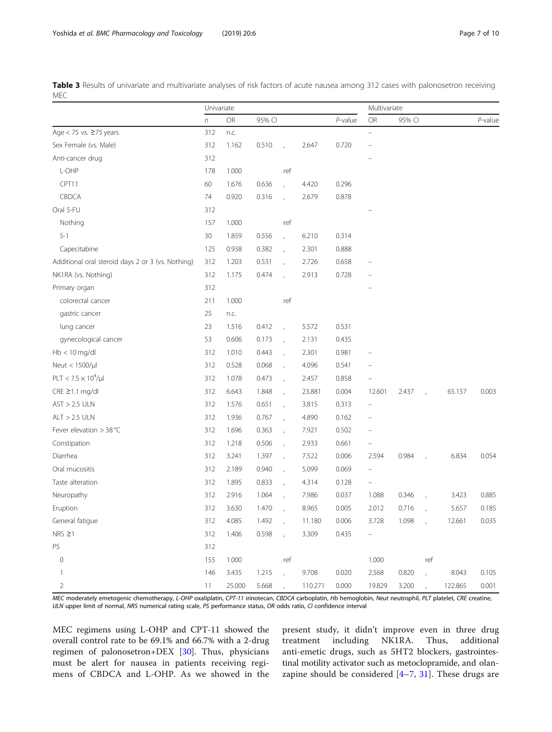<span id="page-6-0"></span>Table 3 Results of univariate and multivariate analyses of risk factors of acute nausea among 312 cases with palonosetron receiving MEC

|                                                   | Univariate |        |        |                |         | Multivariate |                          |        |               |         |         |
|---------------------------------------------------|------------|--------|--------|----------------|---------|--------------|--------------------------|--------|---------------|---------|---------|
|                                                   | $\sqrt{n}$ | OR     | 95% CI |                |         | $P$ -value   | <b>OR</b>                | 95% CI |               |         | P-value |
| Age $<$ 75 vs. $\geq$ 75 years                    | 312        | n.c.   |        |                |         |              | $\overline{\phantom{0}}$ |        |               |         |         |
| Sex Female (vs. Male)                             | 312        | 1.162  | 0.510  | $\overline{a}$ | 2.647   | 0.720        |                          |        |               |         |         |
| Anti-cancer drug                                  | 312        |        |        |                |         |              |                          |        |               |         |         |
| L-OHP                                             | 178        | 1.000  |        | ref            |         |              |                          |        |               |         |         |
| CPT11                                             | 60         | 1.676  | 0.636  | $\overline{1}$ | 4.420   | 0.296        |                          |        |               |         |         |
| CBDCA                                             | 74         | 0.920  | 0.316  |                | 2.679   | 0.878        |                          |        |               |         |         |
| Oral 5-FU                                         | 312        |        |        |                |         |              |                          |        |               |         |         |
| Nothing                                           | 157        | 1.000  |        | ref            |         |              |                          |        |               |         |         |
| $S-1$                                             | 30         | 1.859  | 0.556  |                | 6.210   | 0.314        |                          |        |               |         |         |
| Capecitabine                                      | 125        | 0.938  | 0.382  |                | 2.301   | 0.888        |                          |        |               |         |         |
| Additional oral steroid days 2 or 3 (vs. Nothing) | 312        | 1.203  | 0.531  | $\overline{1}$ | 2.726   | 0.658        |                          |        |               |         |         |
| NK1RA (vs. Nothing)                               | 312        | 1.175  | 0.474  |                | 2.913   | 0.728        |                          |        |               |         |         |
| Primary organ                                     | 312        |        |        |                |         |              |                          |        |               |         |         |
| colorectal cancer                                 | 211        | 1.000  |        | ref            |         |              |                          |        |               |         |         |
| gastric cancer                                    | 25         | n.c.   |        |                |         |              |                          |        |               |         |         |
| lung cancer                                       | 23         | 1.516  | 0.412  |                | 5.572   | 0.531        |                          |        |               |         |         |
| gynecological cancer                              | 53         | 0.606  | 0.173  | $\overline{1}$ | 2.131   | 0.435        |                          |        |               |         |         |
| $Hb < 10$ mg/dl                                   | 312        | 1.010  | 0.443  |                | 2.301   | 0.981        |                          |        |               |         |         |
| Neut < 1500/µl                                    | 312        | 0.528  | 0.068  |                | 4.096   | 0.541        |                          |        |               |         |         |
| $PLT < 7.5 \times 10^4/\mu l$                     | 312        | 1.078  | 0.473  | $\overline{1}$ | 2.457   | 0.858        |                          |        |               |         |         |
| $CRE \geq 1.1$ mg/dl                              | 312        | 6.643  | 1.848  |                | 23.881  | 0.004        | 12.601                   | 2.437  |               | 65.157  | 0.003   |
| $AST > 2.5$ ULN                                   | 312        | 1.576  | 0.651  |                | 3.815   | 0.313        | $\qquad \qquad =$        |        |               |         |         |
| $ALT > 2.5$ ULN                                   | 312        | 1.936  | 0.767  | $\mathbf{r}$   | 4.890   | 0.162        |                          |        |               |         |         |
| Fever elevation $>$ 38 °C                         | 312        | 1.696  | 0.363  |                | 7.921   | 0.502        |                          |        |               |         |         |
| Constipation                                      | 312        | 1.218  | 0.506  |                | 2.933   | 0.661        | $\overline{\phantom{0}}$ |        |               |         |         |
| Diarrhea                                          | 312        | 3.241  | 1.397  | $\overline{1}$ | 7.522   | 0.006        | 2.594                    | 0.984  |               | 6.834   | 0.054   |
| Oral mucositis                                    | 312        | 2.189  | 0.940  |                | 5.099   | 0.069        |                          |        |               |         |         |
| Taste alteration                                  | 312        | 1.895  | 0.833  |                | 4.314   | 0.128        | $\qquad \qquad -$        |        |               |         |         |
| Neuropathy                                        | 312        | 2.916  | 1.064  | $\lambda$      | 7.986   | 0.037        | 1.088                    | 0.346  |               | 3.423   | 0.885   |
| Eruption                                          | 312        | 3.630  | 1.470  |                | 8.965   | 0.005        | 2.012                    | 0.716  |               | 5.657   | 0.185   |
| General fatigue                                   | 312        | 4.085  | 1.492  |                | 11.180  | 0.006        | 3.728                    | 1.098  | $\mathcal{A}$ | 12.661  | 0.035   |
| $NRS \geq 1$                                      | 312        | 1.406  | 0.598  | $\mathcal{L}$  | 3.309   | 0.435        | $\equiv$                 |        |               |         |         |
| PS                                                | 312        |        |        |                |         |              |                          |        |               |         |         |
| $\mathbb O$                                       | 155        | 1.000  |        | ref            |         |              | 1.000                    |        | ref           |         |         |
| $\mathbf{1}$                                      | 146        | 3.435  | 1.215  | $\mathcal{L}$  | 9.708   | 0.020        | 2.568                    | 0.820  | $\mathbf{r}$  | 8.043   | 0.105   |
| $\overline{2}$                                    | 11         | 25.000 | 5.668  | $\mathcal{L}$  | 110.271 | 0.000        | 19.829                   | 3.200  | $\mathcal{L}$ | 122.865 | 0.001   |

MEC moderately emetogenic chemotherapy, L-OHP oxaliplatin, CPT-11 irinotecan, CBDCA carboplatin, Hb hemoglobin, Neut neutrophil, PLT platelet, CRE creatine, ULN upper limit of normal, NRS numerical rating scale, PS performance status, OR odds ratio, CI confidence interval

MEC regimens using L-OHP and CPT-11 showed the overall control rate to be 69.1% and 66.7% with a 2-drug regimen of palonosetron+DEX [[30\]](#page-9-0). Thus, physicians must be alert for nausea in patients receiving regimens of CBDCA and L-OHP. As we showed in the

present study, it didn't improve even in three drug treatment including NK1RA. Thus, additional anti-emetic drugs, such as 5HT2 blockers, gastrointestinal motility activator such as metoclopramide, and olanzapine should be considered [[4](#page-8-0)–[7,](#page-9-0) [31\]](#page-9-0). These drugs are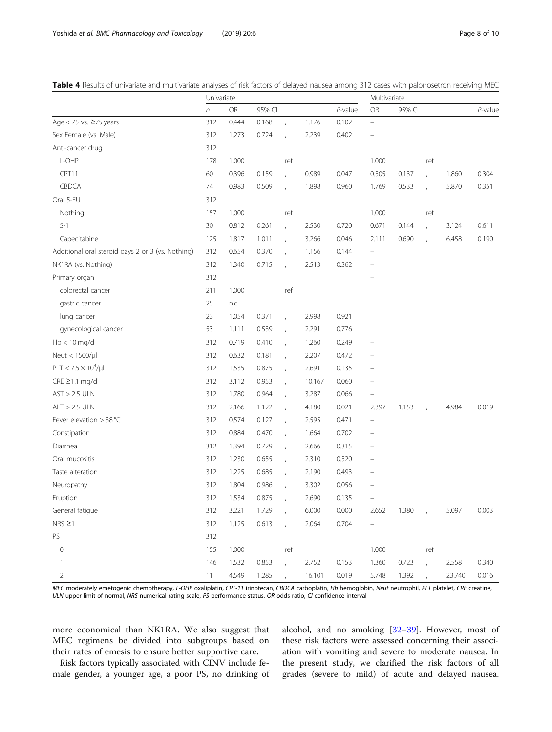<span id="page-7-0"></span>

|  | <b>Table 4</b> Results of univariate and multivariate analyses of risk factors of delayed nausea among 312 cases with palonosetron receiving MEC |  |  |
|--|--------------------------------------------------------------------------------------------------------------------------------------------------|--|--|
|  |                                                                                                                                                  |  |  |

|                                                   | Univariate |           |        |                |        | Multivariate |                          |        |               |        |         |
|---------------------------------------------------|------------|-----------|--------|----------------|--------|--------------|--------------------------|--------|---------------|--------|---------|
|                                                   | $\sqrt{n}$ | <b>OR</b> | 95% CI |                |        | $P$ -value   | <b>OR</b>                | 95% CI |               |        | P-value |
| Age $<$ 75 vs. $\geq$ 75 years                    | 312        | 0.444     | 0.168  |                | 1.176  | 0.102        | $\overline{\phantom{0}}$ |        |               |        |         |
| Sex Female (vs. Male)                             | 312        | 1.273     | 0.724  |                | 2.239  | 0.402        |                          |        |               |        |         |
| Anti-cancer drug                                  | 312        |           |        |                |        |              |                          |        |               |        |         |
| L-OHP                                             | 178        | 1.000     |        | ref            |        |              | 1.000                    |        | ref           |        |         |
| CPT11                                             | 60         | 0.396     | 0.159  | $\overline{1}$ | 0.989  | 0.047        | 0.505                    | 0.137  |               | 1.860  | 0.304   |
| CBDCA                                             | 74         | 0.983     | 0.509  |                | 1.898  | 0.960        | 1.769                    | 0.533  |               | 5.870  | 0.351   |
| Oral 5-FU                                         | 312        |           |        |                |        |              |                          |        |               |        |         |
| Nothing                                           | 157        | 1.000     |        | ref            |        |              | 1.000                    |        | ref           |        |         |
| $S-1$                                             | 30         | 0.812     | 0.261  | $\overline{1}$ | 2.530  | 0.720        | 0.671                    | 0.144  |               | 3.124  | 0.611   |
| Capecitabine                                      | 125        | 1.817     | 1.011  |                | 3.266  | 0.046        | 2.111                    | 0.690  |               | 6.458  | 0.190   |
| Additional oral steroid days 2 or 3 (vs. Nothing) | 312        | 0.654     | 0.370  |                | 1.156  | 0.144        |                          |        |               |        |         |
| NK1RA (vs. Nothing)                               | 312        | 1.340     | 0.715  |                | 2.513  | 0.362        | $\overline{\phantom{0}}$ |        |               |        |         |
| Primary organ                                     | 312        |           |        |                |        |              |                          |        |               |        |         |
| colorectal cancer                                 | 211        | 1.000     |        | ref            |        |              |                          |        |               |        |         |
| gastric cancer                                    | 25         | n.c.      |        |                |        |              |                          |        |               |        |         |
| lung cancer                                       | 23         | 1.054     | 0.371  |                | 2.998  | 0.921        |                          |        |               |        |         |
| gynecological cancer                              | 53         | 1.111     | 0.539  |                | 2.291  | 0.776        |                          |        |               |        |         |
| $Hb < 10$ mg/dl                                   | 312        | 0.719     | 0.410  | $\overline{1}$ | 1.260  | 0.249        | $\overline{\phantom{0}}$ |        |               |        |         |
| Neut < 1500/µl                                    | 312        | 0.632     | 0.181  |                | 2.207  | 0.472        |                          |        |               |        |         |
| $PLT < 7.5 \times 10^4/\mu l$                     | 312        | 1.535     | 0.875  |                | 2.691  | 0.135        |                          |        |               |        |         |
| CRE ≥1.1 mg/dl                                    | 312        | 3.112     | 0.953  |                | 10.167 | 0.060        |                          |        |               |        |         |
| $AST > 2.5$ ULN                                   | 312        | 1.780     | 0.964  |                | 3.287  | 0.066        | $\overline{\phantom{0}}$ |        |               |        |         |
| $ALT > 2.5$ ULN                                   | 312        | 2.166     | 1.122  |                | 4.180  | 0.021        | 2.397                    | 1.153  |               | 4.984  | 0.019   |
| Fever elevation $>$ 38 °C                         | 312        | 0.574     | 0.127  | $\overline{1}$ | 2.595  | 0.471        | $\overline{a}$           |        |               |        |         |
| Constipation                                      | 312        | 0.884     | 0.470  |                | 1.664  | 0.702        |                          |        |               |        |         |
| Diarrhea                                          | 312        | 1.394     | 0.729  |                | 2.666  | 0.315        |                          |        |               |        |         |
| Oral mucositis                                    | 312        | 1.230     | 0.655  |                | 2.310  | 0.520        |                          |        |               |        |         |
| Taste alteration                                  | 312        | 1.225     | 0.685  |                | 2.190  | 0.493        |                          |        |               |        |         |
| Neuropathy                                        | 312        | 1.804     | 0.986  |                | 3.302  | 0.056        |                          |        |               |        |         |
| Eruption                                          | 312        | 1.534     | 0.875  |                | 2.690  | 0.135        |                          |        |               |        |         |
| General fatigue                                   | 312        | 3.221     | 1.729  |                | 6.000  | 0.000        | 2.652                    | 1.380  | $\sim$ $\sim$ | 5.097  | 0.003   |
| $NRS \geq 1$                                      | 312        | 1.125     | 0.613  | $\mathbf{r}$   | 2.064  | 0.704        |                          |        |               |        |         |
| <b>PS</b>                                         | 312        |           |        |                |        |              |                          |        |               |        |         |
| $\mathbb O$                                       | 155        | 1.000     |        | ref            |        |              | 1.000                    |        | ref           |        |         |
| $\mathbf{1}$                                      | 146        | 1.532     | 0.853  | $\mathcal{L}$  | 2.752  | 0.153        | 1.360                    | 0.723  | $\mathcal{L}$ | 2.558  | 0.340   |
| 2                                                 | $11 -$     | 4.549     | 1.285  | $\mathcal{L}$  | 16.101 | 0.019        | 5.748                    | 1.392  | $\mathbf{r}$  | 23.740 | 0.016   |

MEC moderately emetogenic chemotherapy, L-OHP oxaliplatin, CPT-11 irinotecan, CBDCA carboplatin, Hb hemoglobin, Neut neutrophil, PLT platelet, CRE creatine, ULN upper limit of normal, NRS numerical rating scale, PS performance status, OR odds ratio, CI confidence interval

more economical than NK1RA. We also suggest that MEC regimens be divided into subgroups based on their rates of emesis to ensure better supportive care.

Risk factors typically associated with CINV include female gender, a younger age, a poor PS, no drinking of alcohol, and no smoking [[32](#page-9-0)–[39](#page-9-0)]. However, most of these risk factors were assessed concerning their association with vomiting and severe to moderate nausea. In the present study, we clarified the risk factors of all grades (severe to mild) of acute and delayed nausea.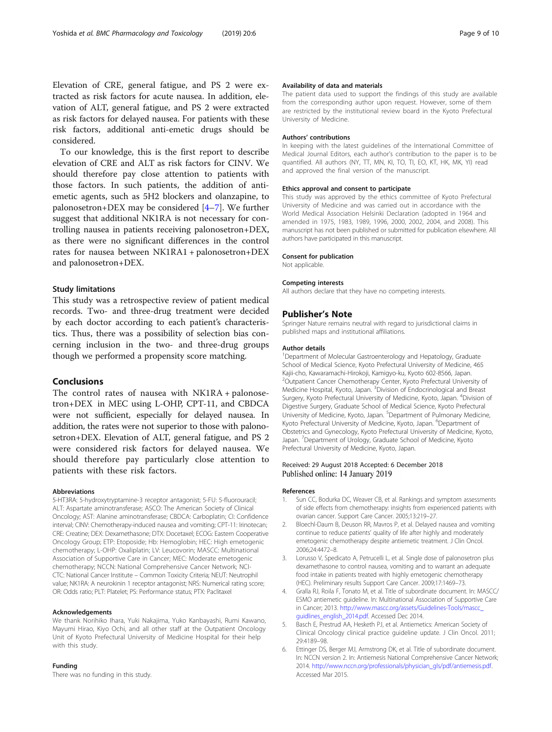<span id="page-8-0"></span>Elevation of CRE, general fatigue, and PS 2 were extracted as risk factors for acute nausea. In addition, elevation of ALT, general fatigue, and PS 2 were extracted as risk factors for delayed nausea. For patients with these risk factors, additional anti-emetic drugs should be considered.

To our knowledge, this is the first report to describe elevation of CRE and ALT as risk factors for CINV. We should therefore pay close attention to patients with those factors. In such patients, the addition of antiemetic agents, such as 5H2 blockers and olanzapine, to palonosetron+DEX may be considered [4–[7\]](#page-9-0). We further suggest that additional NK1RA is not necessary for controlling nausea in patients receiving palonosetron+DEX, as there were no significant differences in the control rates for nausea between NK1RA1 + palonosetron+DEX and palonosetron+DEX.

#### Study limitations

This study was a retrospective review of patient medical records. Two- and three-drug treatment were decided by each doctor according to each patient's characteristics. Thus, there was a possibility of selection bias concerning inclusion in the two- and three-drug groups though we performed a propensity score matching.

#### Conclusions

The control rates of nausea with NK1RA + palonosetron+DEX in MEC using L-OHP, CPT-11, and CBDCA were not sufficient, especially for delayed nausea. In addition, the rates were not superior to those with palonosetron+DEX. Elevation of ALT, general fatigue, and PS 2 were considered risk factors for delayed nausea. We should therefore pay particularly close attention to patients with these risk factors.

#### Abbreviations

5-HT3RA: 5-hydroxytryptamine-3 receptor antagonist; 5-FU: 5-fluorouracil; ALT: Aspartate aminotransferase; ASCO: The American Society of Clinical Oncology; AST: Alanine aminotransferase; CBDCA: Carboplatin; CI: Confidence interval; CINV: Chemotherapy-induced nausea and vomiting; CPT-11: Irinotecan; CRE: Creatine; DEX: Dexamethasone; DTX: Docetaxel; ECOG: Eastern Cooperative Oncology Group; ETP: Etoposide; Hb: Hemoglobin; HEC: High emetogenic chemotherapy; L-OHP: Oxaliplatin; LV: Leucovorin; MASCC: Multinational Association of Supportive Care in Cancer; MEC: Moderate emetogenic chemotherapy; NCCN: National Comprehensive Cancer Network; NCI-CTC: National Cancer Institute – Common Toxicity Criteria; NEUT: Neutrophil value; NK1RA: A neurokinin 1 receptor antagonist; NRS: Numerical rating score; OR: Odds ratio; PLT: Platelet; PS: Performance status; PTX: Paclitaxel

#### Acknowledgements

We thank Norihiko Ihara, Yuki Nakajima, Yuko Kanbayashi, Rumi Kawano, Mayumi Hirao, Kiyo Ochi, and all other staff at the Outpatient Oncology Unit of Kyoto Prefectural University of Medicine Hospital for their help with this study.

#### Funding

There was no funding in this study.

#### Availability of data and materials

The patient data used to support the findings of this study are available from the corresponding author upon request. However, some of them are restricted by the institutional review board in the Kyoto Prefectural University of Medicine.

#### Authors' contributions

In keeping with the latest guidelines of the International Committee of Medical Journal Editors, each author's contribution to the paper is to be quantified. All authors (NY, TT, MN, KI, TO, TI, EO, KT, HK, MK, YI) read and approved the final version of the manuscript.

#### Ethics approval and consent to participate

This study was approved by the ethics committee of Kyoto Prefectural University of Medicine and was carried out in accordance with the World Medical Association Helsinki Declaration (adopted in 1964 and amended in 1975, 1983, 1989, 1996, 2000, 2002, 2004, and 2008). This manuscript has not been published or submitted for publication elsewhere. All authors have participated in this manuscript.

#### Consent for publication

Not applicable.

#### Competing interests

All authors declare that they have no competing interests.

#### Publisher's Note

Springer Nature remains neutral with regard to jurisdictional claims in published maps and institutional affiliations.

#### Author details

<sup>1</sup>Department of Molecular Gastroenterology and Hepatology, Graduate School of Medical Science, Kyoto Prefectural University of Medicine, 465 Kajii-cho, Kawaramachi-Hirokoji, Kamigyo-ku, Kyoto 602-8566, Japan. 2 Outpatient Cancer Chemotherapy Center, Kyoto Prefectural University of Medicine Hospital, Kyoto, Japan. <sup>3</sup> Division of Endocrinological and Breast Surgery, Kyoto Prefectural University of Medicine, Kyoto, Japan. <sup>4</sup>Division of Digestive Surgery, Graduate School of Medical Science, Kyoto Prefectural University of Medicine, Kyoto, Japan. <sup>5</sup>Department of Pulmonary Medicine, Kyoto Prefectural University of Medicine, Kyoto, Japan. <sup>6</sup>Department of Obstetrics and Gynecology, Kyoto Prefectural University of Medicine, Kyoto, Japan. <sup>7</sup>Department of Urology, Graduate School of Medicine, Kyoto Prefectural University of Medicine, Kyoto, Japan.

#### Received: 29 August 2018 Accepted: 6 December 2018 Published online: 14 January 2019

#### References

- 1. Sun CC, Bodurka DC, Weaver CB, et al. Rankings and symptom assessments of side effects from chemotherapy: insights from experienced patients with ovarian cancer. Support Care Cancer. 2005;13:219–27.
- 2. Bloechl-Daum B, Deuson RR, Mavros P, et al. Delayed nausea and vomiting continue to reduce patients' quality of life after highly and moderately emetogenic chemotherapy despite antiemetic treatment. J Clin Oncol. 2006;24:4472–8.
- 3. Lorusso V, Spedicato A, Petrucelli L, et al. Single dose of palonosetron plus dexamethasone to control nausea, vomiting and to warrant an adequate food intake in patients treated with highly emetogenic chemotherapy (HEC). Preliminary results Support Care Cancer. 2009;17:1469–73.
- 4. Gralla RJ, Roila F, Tonato M, et al. Title of subordinate document. In: MASCC/ ESMO antiemetic guideline. In: Multinational Association of Supportive Care in Cancer; 2013. [http://www.mascc.org/assets/Guidelines-Tools/mascc\\_](http://www.mascc.org/assets/Guidelines-Tools/mascc_guidlines_english_2014.pdf) [guidlines\\_english\\_2014.pdf](http://www.mascc.org/assets/Guidelines-Tools/mascc_guidlines_english_2014.pdf). Accessed Dec 2014.
- 5. Basch E, Prestrud AA, Hesketh PJ, et al. Antiemetics: American Society of Clinical Oncology clinical practice guideline update. J Clin Oncol. 2011; 29:4189–98.
- 6. Ettinger DS, Berger MJ, Armstrong DK, et al. Title of subordinate document. In: NCCN version 2. In: Antiemesis National Comprehensive Cancer Network; 2014. [http://www.nccn.org/professionals/physician\\_gls/pdf/antiemesis.pdf](http://www.nccn.org/professionals/physician_gls/pdf/antiemesis.pdf). Accessed Mar 2015.